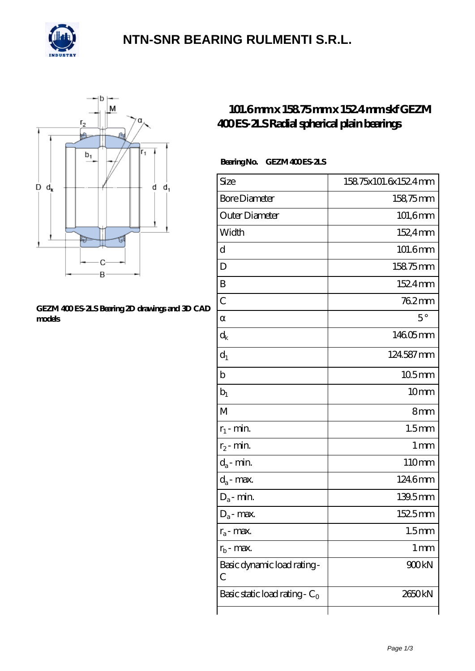

### **[NTN-SNR BEARING RULMENTI S.R.L.](https://m.confidencemenimprov.com)**



#### **[GEZM 400 ES-2LS Bearing 2D drawings and 3D CAD](https://m.confidencemenimprov.com/pic-64975062.html) [models](https://m.confidencemenimprov.com/pic-64975062.html)**

### **[101.6 mm x 158.75 mm x 152.4 mm skf GEZM](https://m.confidencemenimprov.com/bs-64975062-skf-gezm-400-es-2ls-radial-spherical-plain-bearings.html) [400 ES-2LS Radial spherical plain bearings](https://m.confidencemenimprov.com/bs-64975062-skf-gezm-400-es-2ls-radial-spherical-plain-bearings.html)**

#### Bearing No. GEZM 400 ES 2LS

| Size                             | 15875x101.6x1524mm |
|----------------------------------|--------------------|
| <b>Bore Diameter</b>             | 158,75mm           |
| Outer Diameter                   | 101,6mm            |
| Width                            | 152,4mm            |
| d                                | 101.6mm            |
| D                                | 15875mm            |
| B                                | 1524mm             |
| $\overline{C}$                   | 762mm              |
|                                  | $5^{\circ}$        |
| $d_k$                            | 14605mm            |
| $d_1$                            | 124587mm           |
| b                                | 105mm              |
| $b_1$                            | 10mm               |
| M                                | 8mm                |
| $r_1$ - min.                     | 1.5 <sub>mm</sub>  |
| $r_2$ - min.                     | 1 <sub>mm</sub>    |
| $d_a$ - min.                     | 110mm              |
| $d_a$ - max.                     | 1246mm             |
| $D_a$ - min.                     | 139.5mm            |
| $D_a$ - max.                     | 1525mm             |
| $r_a$ - max.                     | 1.5 <sub>mm</sub>  |
| $r_{b}$ - max.                   | 1 <sub>mm</sub>    |
| Basic dynamic load rating-<br>С  | 900kN              |
| Basic static load rating - $C_0$ | 2650kN             |
|                                  |                    |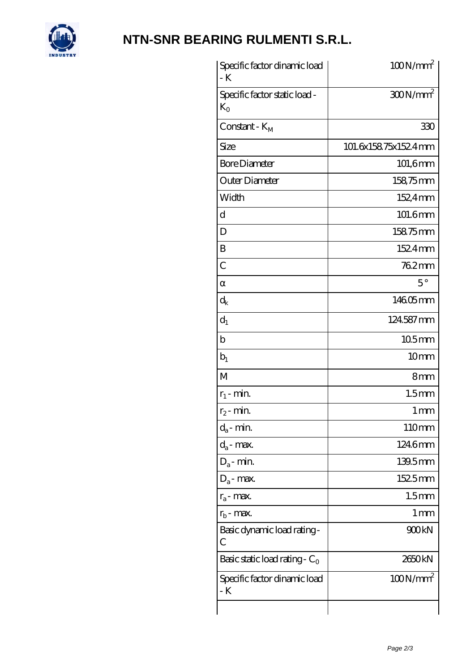

# **[NTN-SNR BEARING RULMENTI S.R.L.](https://m.confidencemenimprov.com)**

| Specific factor dinamic load<br>- K           | $100N/mm^2$         |
|-----------------------------------------------|---------------------|
| Specific factor static load -<br>$K_{\Omega}$ | $300N/mm^2$         |
| Constant - $K_{\rm M}$                        | 330                 |
| Size                                          | 101.6x15875x1524mm  |
| <b>Bore Diameter</b>                          | $101,6$ mm          |
| Outer Diameter                                | 158,75mm            |
| Width                                         | 152,4mm             |
| d                                             | 101.6mm             |
| D                                             | 15875mm             |
| B                                             | 1524mm              |
| C                                             | 762mm               |
|                                               | $5^{\circ}$         |
| $\mathrm{d}_{\mathrm{k}}$                     | 14605mm             |
| $d_1$                                         | 124587mm            |
| $\mathbf b$                                   | $105$ <sub>mm</sub> |
| $b_1$                                         | 10 <sub>mm</sub>    |
| M                                             | 8mm                 |
| $r_1$ - min.                                  | 1.5 <sub>mm</sub>   |
| $r_2$ - min.                                  | 1 <sub>mm</sub>     |
| $d_a$ - min.                                  | 110mm               |
| $d_a$ - max.                                  | 1246mm              |
| $D_a$ - min.                                  | $139.5$ mm          |
| $D_a$ - max.                                  | 1525mm              |
| $r_a$ - max.                                  | 1.5 <sub>mm</sub>   |
| $r_{\rm b}$ - max.                            | 1 mm                |
| Basic dynamic load rating-<br>С               | 900kN               |
| Basic static load rating - $C_0$              | 2650kN              |
| Specific factor dinamic load<br>- K           | $100N/mm^2$         |
|                                               |                     |